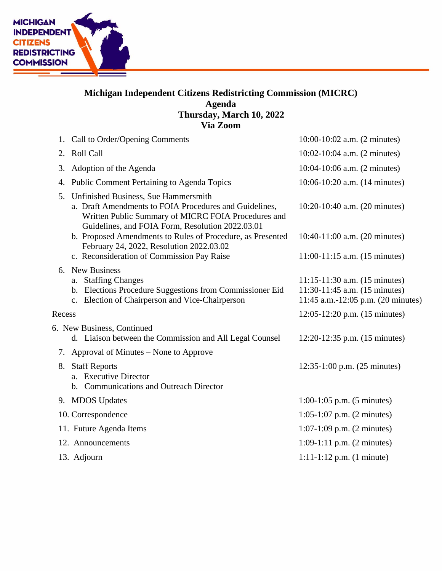

## **Michigan Independent Citizens Redistricting Commission (MICRC) Agenda Thursday, March 10, 2022 Via Zoom**

|        | 1. Call to Order/Opening Comments                                                                                                                                                                         | $10:00-10:02$ a.m. $(2 \text{ minutes})$                                                                         |
|--------|-----------------------------------------------------------------------------------------------------------------------------------------------------------------------------------------------------------|------------------------------------------------------------------------------------------------------------------|
| 2.     | Roll Call                                                                                                                                                                                                 | 10:02-10:04 a.m. (2 minutes)                                                                                     |
| 3.     | Adoption of the Agenda                                                                                                                                                                                    | 10:04-10:06 a.m. (2 minutes)                                                                                     |
| 4.     | <b>Public Comment Pertaining to Agenda Topics</b>                                                                                                                                                         | 10:06-10:20 a.m. (14 minutes)                                                                                    |
| 5.     | Unfinished Business, Sue Hammersmith<br>a. Draft Amendments to FOIA Procedures and Guidelines,<br>Written Public Summary of MICRC FOIA Procedures and<br>Guidelines, and FOIA Form, Resolution 2022.03.01 | 10:20-10:40 a.m. (20 minutes)                                                                                    |
|        | b. Proposed Amendments to Rules of Procedure, as Presented<br>February 24, 2022, Resolution 2022.03.02                                                                                                    | 10:40-11:00 a.m. (20 minutes)                                                                                    |
|        | c. Reconsideration of Commission Pay Raise                                                                                                                                                                | $11:00-11:15$ a.m. $(15$ minutes)                                                                                |
|        | 6. New Business<br>a. Staffing Changes<br>b. Elections Procedure Suggestions from Commissioner Eid<br>c. Election of Chairperson and Vice-Chairperson                                                     | $11:15-11:30$ a.m. $(15 \text{ minutes})$<br>11:30-11:45 a.m. (15 minutes)<br>11:45 a.m.-12:05 p.m. (20 minutes) |
| Recess |                                                                                                                                                                                                           | 12:05-12:20 p.m. (15 minutes)                                                                                    |
|        | 6. New Business, Continued<br>d. Liaison between the Commission and All Legal Counsel                                                                                                                     | 12:20-12:35 p.m. (15 minutes)                                                                                    |
|        | 7. Approval of Minutes – None to Approve                                                                                                                                                                  |                                                                                                                  |
| 8.     | <b>Staff Reports</b><br>a. Executive Director<br>b. Communications and Outreach Director                                                                                                                  | 12:35-1:00 p.m. (25 minutes)                                                                                     |
|        | 9. MDOS Updates                                                                                                                                                                                           | $1:00-1:05$ p.m. $(5 \text{ minutes})$                                                                           |
|        | 10. Correspondence                                                                                                                                                                                        | $1:05-1:07$ p.m. $(2 \text{ minutes})$                                                                           |
|        | 11. Future Agenda Items                                                                                                                                                                                   | $1:07-1:09$ p.m. $(2 \text{ minutes})$                                                                           |
|        | 12. Announcements                                                                                                                                                                                         | $1:09-1:11$ p.m. $(2 \text{ minutes})$                                                                           |
|        | 13. Adjourn                                                                                                                                                                                               | $1:11-1:12$ p.m. $(1 \text{ minute})$                                                                            |